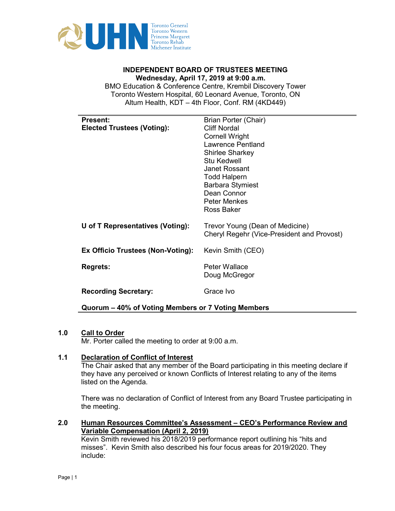

# Wednesday, April 17, 2019 at 9:00 a.m.

 BMO Education & Conference Centre, Krembil Discovery Tower I Altum Health, KDT – 4th Floor, Conf. RM (4KD449)**INDEPENDENT BOARD OF TRUSTEES MEETING**<br>Wednesday, April 17, 2019 at 9:00 a.m.<br>Education & Conference Centre, Krembil Discovery<br>onto Western Hospital, 60 Leonard Avenue, Toronto,<br>Altum Health, KDT – 4th Floor, Conf. RM (4K Toronto Western Hospital, 60 Leonard Avenue, Toronto, ON

| <b>Present:</b>                                    | Brian Porter (Chair)                       |
|----------------------------------------------------|--------------------------------------------|
| <b>Elected Trustees (Voting):</b>                  | <b>Cliff Nordal</b>                        |
|                                                    | <b>Cornell Wright</b>                      |
|                                                    | <b>Lawrence Pentland</b>                   |
|                                                    | <b>Shirlee Sharkey</b>                     |
|                                                    | <b>Stu Kedwell</b>                         |
|                                                    | <b>Janet Rossant</b>                       |
|                                                    | <b>Todd Halpern</b>                        |
|                                                    | <b>Barbara Stymiest</b>                    |
|                                                    | Dean Connor                                |
|                                                    | <b>Peter Menkes</b>                        |
|                                                    | Ross Baker                                 |
| U of T Representatives (Voting):                   | Trevor Young (Dean of Medicine)            |
|                                                    | Cheryl Regehr (Vice-President and Provost) |
|                                                    |                                            |
| Ex Officio Trustees (Non-Voting):                  | Kevin Smith (CEO)                          |
|                                                    |                                            |
| <b>Regrets:</b>                                    | <b>Peter Wallace</b>                       |
|                                                    | Doug McGregor                              |
|                                                    |                                            |
| <b>Recording Secretary:</b>                        | Grace Ivo                                  |
| Quorum – 40% of Voting Members or 7 Voting Members |                                            |

#### 1.0 Call to Order

Mr. Porter called the meeting to order at 9:00 a.m.

# 1.1 Declaration of Conflict of Interest

The Chair asked that any member of the Board participating in this meeting declare if they have any perceived or known Conflicts of Interest relating to any of the items listed on the Agenda.

There was no declaration of Conflict of Interest from any Board Trustee participating in the meeting.

# 2.0 Human Resources Committee's Assessment – CEO's Performance Review and Variable Compensation (April 2, 2019)

Kevin Smith reviewed his 2018/2019 performance report outlining his "hits and misses". Kevin Smith also described his four focus areas for 2019/2020. They include: